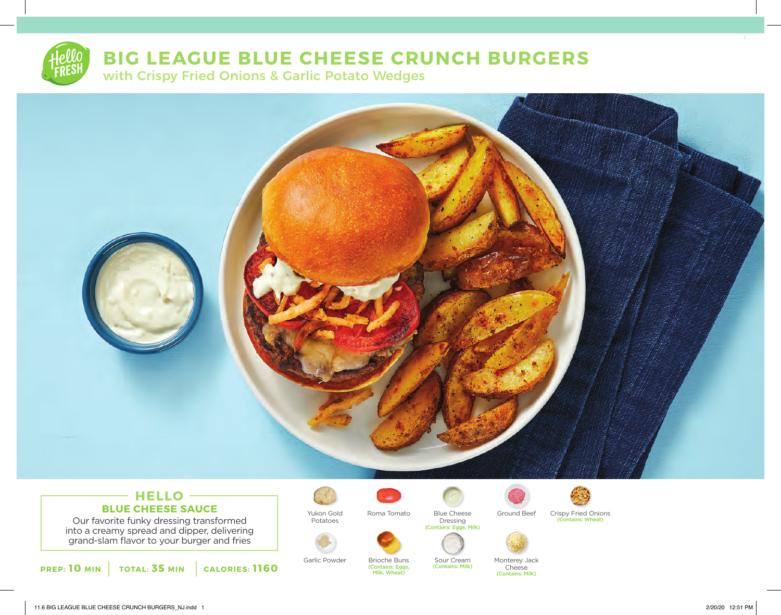# **BIG LEAGUE BLUE CHEESE CRUNCH BURGERS**

with Crispy Fried Onions & Garlic Potato Wedges



## **HELLO BLUE CHEESE SAUCE**

Our favorite funky dressing transformed into a creamy spread and dipper, delivering grand-slam flavor to your burger and fries

**PREP: 10 MIN TOTAL: 35 MIN CALORIES: 1160**



Yukon Gold Potatoes



Brioche Buns (Contains: Eggs, Milk, Wheat)

Dressing (Contains: Eggs, Milk)

> Sour Cream (Contains: Milk)



Blue Cheese Ground Beef



Crispy Fried Onions (Contains: Wheat)



Garlic Powder Brioche Buns Sour Cream Monterey Jack

Cheese (Contains: Milk)